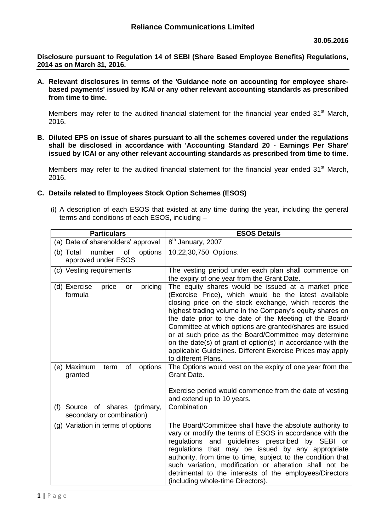**Disclosure pursuant to Regulation 14 of SEBI (Share Based Employee Benefits) Regulations, 2014 as on March 31, 2016.**

**A. Relevant disclosures in terms of the 'Guidance note on accounting for employee sharebased payments' issued by ICAI or any other relevant accounting standards as prescribed from time to time.**

Members may refer to the audited financial statement for the financial year ended  $31<sup>st</sup>$  March, 2016.

**B. Diluted EPS on issue of shares pursuant to all the schemes covered under the regulations shall be disclosed in accordance with 'Accounting Standard 20 - Earnings Per Share' issued by ICAI or any other relevant accounting standards as prescribed from time to time**.

Members may refer to the audited financial statement for the financial year ended  $31<sup>st</sup>$  March, 2016.

- **C. Details related to Employees Stock Option Schemes (ESOS)**
	- (i) A description of each ESOS that existed at any time during the year, including the general terms and conditions of each ESOS, including –

| <b>Particulars</b>                                             | <b>ESOS Details</b>                                                                                                                                                                                                                                                                                                                                                                                                                                                                                                                                                    |
|----------------------------------------------------------------|------------------------------------------------------------------------------------------------------------------------------------------------------------------------------------------------------------------------------------------------------------------------------------------------------------------------------------------------------------------------------------------------------------------------------------------------------------------------------------------------------------------------------------------------------------------------|
| (a) Date of shareholders' approval                             | 8 <sup>th</sup> January, 2007                                                                                                                                                                                                                                                                                                                                                                                                                                                                                                                                          |
| number<br>(b) Total<br>of<br>options<br>approved under ESOS    | 10,22,30,750 Options.                                                                                                                                                                                                                                                                                                                                                                                                                                                                                                                                                  |
| (c) Vesting requirements                                       | The vesting period under each plan shall commence on<br>the expiry of one year from the Grant Date.                                                                                                                                                                                                                                                                                                                                                                                                                                                                    |
| pricing<br>(d) Exercise<br>price<br>or<br>formula              | The equity shares would be issued at a market price<br>(Exercise Price), which would be the latest available<br>closing price on the stock exchange, which records the<br>highest trading volume in the Company's equity shares on<br>the date prior to the date of the Meeting of the Board/<br>Committee at which options are granted/shares are issued<br>or at such price as the Board/Committee may determine<br>on the date(s) of grant of option(s) in accordance with the<br>applicable Guidelines. Different Exercise Prices may apply<br>to different Plans. |
| (e) Maximum<br>of<br>options<br>term<br>granted                | The Options would vest on the expiry of one year from the<br>Grant Date.                                                                                                                                                                                                                                                                                                                                                                                                                                                                                               |
|                                                                | Exercise period would commence from the date of vesting<br>and extend up to 10 years.                                                                                                                                                                                                                                                                                                                                                                                                                                                                                  |
| (f) Source of shares<br>(primary,<br>secondary or combination) | Combination                                                                                                                                                                                                                                                                                                                                                                                                                                                                                                                                                            |
| (g) Variation in terms of options                              | The Board/Committee shall have the absolute authority to<br>vary or modify the terms of ESOS in accordance with the<br>regulations and guidelines prescribed by SEBI or<br>regulations that may be issued by any appropriate<br>authority, from time to time, subject to the condition that<br>such variation, modification or alteration shall not be<br>detrimental to the interests of the employees/Directors<br>(including whole-time Directors).                                                                                                                 |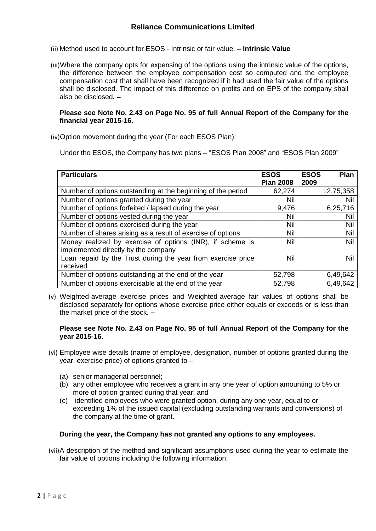- (ii) Method used to account for ESOS Intrinsic or fair value. **– Intrinsic Value**
- (iii)Where the company opts for expensing of the options using the intrinsic value of the options, the difference between the employee compensation cost so computed and the employee compensation cost that shall have been recognized if it had used the fair value of the options shall be disclosed. The impact of this difference on profits and on EPS of the company shall also be disclosed**. –**

### **Please see Note No. 2.43 on Page No. 95 of full Annual Report of the Company for the financial year 2015-16.**

(iv)Option movement during the year (For each ESOS Plan):

Under the ESOS, the Company has two plans – "ESOS Plan 2008" and "ESOS Plan 2009"

| <b>Particulars</b>                                                                               | <b>ESOS</b><br><b>Plan 2008</b> | <b>ESOS</b><br><b>Plan</b><br>2009 |
|--------------------------------------------------------------------------------------------------|---------------------------------|------------------------------------|
| Number of options outstanding at the beginning of the period                                     | 62,274                          | 12,75,358                          |
| Number of options granted during the year                                                        | Nil                             | Nil                                |
| Number of options forfeited / lapsed during the year                                             | 9,476                           | 6,25,716                           |
| Number of options vested during the year                                                         | Nil                             | Nil                                |
| Number of options exercised during the year                                                      | Nil                             | Nil                                |
| Number of shares arising as a result of exercise of options                                      | Nil                             | Nil                                |
| Money realized by exercise of options (INR), if scheme is<br>implemented directly by the company | <b>Nil</b>                      | Nil                                |
| Loan repaid by the Trust during the year from exercise price<br>received                         | <b>Nil</b>                      | Nil                                |
| Number of options outstanding at the end of the year                                             | 52,798                          | 6,49,642                           |
| Number of options exercisable at the end of the year                                             | 52,798                          | 6,49,642                           |

(v) Weighted-average exercise prices and Weighted-average fair values of options shall be disclosed separately for options whose exercise price either equals or exceeds or is less than the market price of the stock. **–**

### **Please see Note No. 2.43 on Page No. 95 of full Annual Report of the Company for the year 2015-16.**

- (vi) Employee wise details (name of employee, designation, number of options granted during the year, exercise price) of options granted to –
	- (a) senior managerial personnel;
	- (b) any other employee who receives a grant in any one year of option amounting to 5% or more of option granted during that year; and
	- (c) identified employees who were granted option, during any one year, equal to or exceeding 1% of the issued capital (excluding outstanding warrants and conversions) of the company at the time of grant.

### **During the year, the Company has not granted any options to any employees.**

(vii)A description of the method and significant assumptions used during the year to estimate the fair value of options including the following information: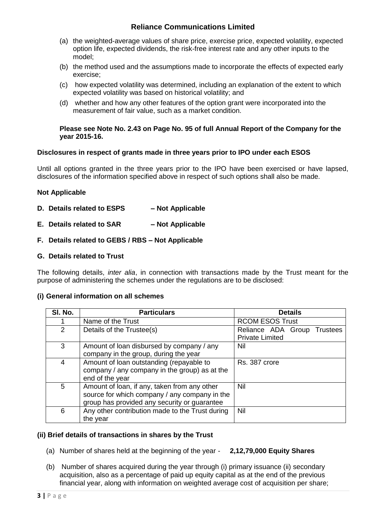# **Reliance Communications Limited**

- (a) the weighted-average values of share price, exercise price, expected volatility, expected option life, expected dividends, the risk-free interest rate and any other inputs to the model;
- (b) the method used and the assumptions made to incorporate the effects of expected early exercise;
- (c) how expected volatility was determined, including an explanation of the extent to which expected volatility was based on historical volatility; and
- (d) whether and how any other features of the option grant were incorporated into the measurement of fair value, such as a market condition.

#### **Please see Note No. 2.43 on Page No. 95 of full Annual Report of the Company for the year 2015-16.**

### **Disclosures in respect of grants made in three years prior to IPO under each ESOS**

Until all options granted in the three years prior to the IPO have been exercised or have lapsed, disclosures of the information specified above in respect of such options shall also be made.

## **Not Applicable**

- **D. Details related to ESPS – Not Applicable**
- **E. Details related to SAR – Not Applicable**

## **F. Details related to GEBS / RBS – Not Applicable**

## **G. Details related to Trust**

The following details, *inter alia*, in connection with transactions made by the Trust meant for the purpose of administering the schemes under the regulations are to be disclosed:

### **(i) General information on all schemes**

| SI. No. | <b>Particulars</b>                              | <b>Details</b>              |
|---------|-------------------------------------------------|-----------------------------|
|         | Name of the Trust                               | <b>RCOM ESOS Trust</b>      |
| 2       | Details of the Trustee(s)                       | Reliance ADA Group Trustees |
|         |                                                 | <b>Private Limited</b>      |
| 3       | Amount of loan disbursed by company / any       | Nil                         |
|         | company in the group, during the year           |                             |
| 4       | Amount of loan outstanding (repayable to        | Rs. 387 crore               |
|         | company / any company in the group) as at the   |                             |
|         | end of the year                                 |                             |
| 5       | Amount of loan, if any, taken from any other    | Nil                         |
|         | source for which company / any company in the   |                             |
|         | group has provided any security or guarantee    |                             |
| 6       | Any other contribution made to the Trust during | Nil                         |
|         | the year                                        |                             |

### **(ii) Brief details of transactions in shares by the Trust**

- (a) Number of shares held at the beginning of the year **2,12,79,000 Equity Shares**
- (b) Number of shares acquired during the year through (i) primary issuance (ii) secondary acquisition, also as a percentage of paid up equity capital as at the end of the previous financial year, along with information on weighted average cost of acquisition per share;